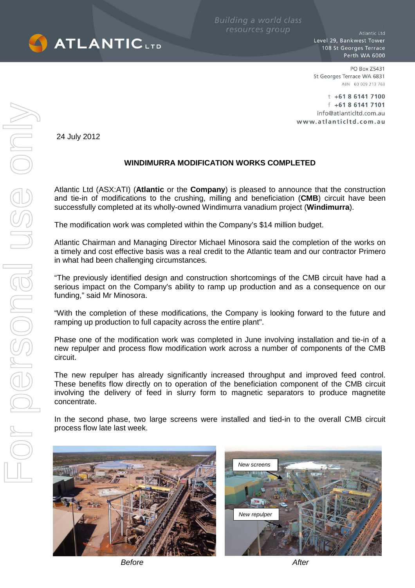

**Building a world class** resources group

Atlantic Ltd Level 29, Bankwest Tower 108 St Georges Terrace Perth WA 6000

PO Box Z5431 St Georges Terrace WA 6831 ABN 60 009 213 763

 $t$  +61 8 6141 7100  $f$  +61 8 6141 7101 info@atlanticltd.com.au www.atlanticltd.com.au

24 July 2012

## **WINDIMURRA MODIFICATION WORKS COMPLETED**

Atlantic Ltd (ASX:ATI) (**Atlantic** or the **Company**) is pleased to announce that the construction and tie-in of modifications to the crushing, milling and beneficiation (**CMB**) circuit have been successfully completed at its wholly-owned Windimurra vanadium project (**Windimurra**).

The modification work was completed within the Company's \$14 million budget.

Atlantic Chairman and Managing Director Michael Minosora said the completion of the works on a timely and cost effective basis was a real credit to the Atlantic team and our contractor Primero in what had been challenging circumstances.

"The previously identified design and construction shortcomings of the CMB circuit have had a serious impact on the Company's ability to ramp up production and as a consequence on our funding," said Mr Minosora.

"With the completion of these modifications, the Company is looking forward to the future and ramping up production to full capacity across the entire plant".

Phase one of the modification work was completed in June involving installation and tie-in of a new repulper and process flow modification work across a number of components of the CMB circuit.

The new repulper has already significantly increased throughput and improved feed control. These benefits flow directly on to operation of the beneficiation component of the CMB circuit involving the delivery of feed in slurry form to magnetic separators to produce magnetite concentrate.

In the second phase, two large screens were installed and tied-in to the overall CMB circuit process flow late last week.